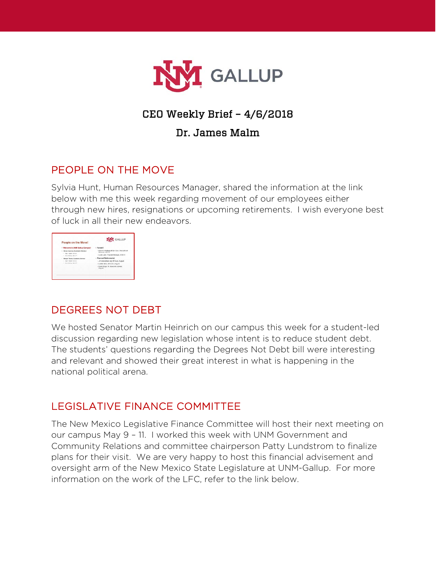

# CEO Weekly Brief – 4/6/2018

#### Dr. James Malm

## PEOPLE ON THE MOVE

Sylvia Hunt, Human Resources Manager, shared the information at the link below with me this week regarding movement of our employees either through new hires, resignations or upcoming retirements. I wish everyone best of luck in all their new endeavors.

| People on the Move!                                       | <b>NM</b> GALLUP                                             |
|-----------------------------------------------------------|--------------------------------------------------------------|
| - Welcome to UNM Gallup Campus!                           | - Farwellt                                                   |
| - Graco Luoras, Academic Advisor<br>Date: Oralter Connext | - Roanna Shebala, Br/Div Coor, Recruitment<br>Bonicos, 48/18 |
| . Birts Wenton, April 219.                                | - Laura Jien, Program Manager, 6/29/18                       |
| Margin Tennis, Academic Advisor                           | - Planned Retirements!                                       |
| <b>ONE USANE SHOWS</b><br>- Suite Mentos, April 214       | - Jm Blackshear, Mar. IT Brics, August                       |
|                                                           | - Lovem Mrsg. AA to Dr. August.                              |
|                                                           | - David Stiger, Sr. Academic Advisor,<br><b>August</b>       |

### DEGREES NOT DEBT

We hosted Senator Martin Heinrich on our campus this week for a student-led discussion regarding new legislation whose intent is to reduce student debt. The students' questions regarding the Degrees Not Debt bill were interesting and relevant and showed their great interest in what is happening in the national political arena.

# LEGISLATIVE FINANCE COMMITTEE

The New Mexico Legislative Finance Committee will host their next meeting on our campus May 9 – 11. I worked this week with UNM Government and Community Relations and committee chairperson Patty Lundstrom to finalize plans for their visit. We are very happy to host this financial advisement and oversight arm of the New Mexico State Legislature at UNM-Gallup. For more information on the work of the LFC, refer to the link below.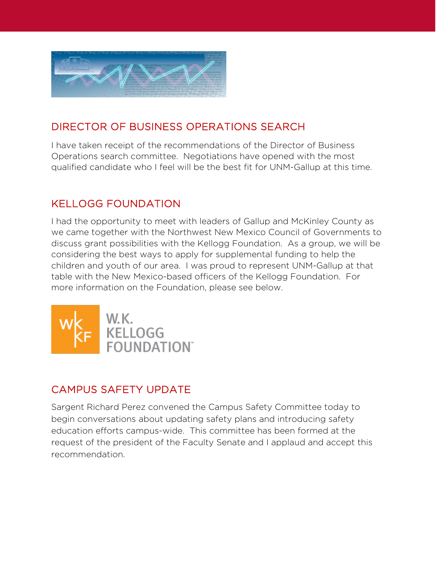

## DIRECTOR OF BUSINESS OPERATIONS SEARCH

I have taken receipt of the recommendations of the Director of Business Operations search committee. Negotiations have opened with the most qualified candidate who I feel will be the best fit for UNM-Gallup at this time.

## KELLOGG FOUNDATION

I had the opportunity to meet with leaders of Gallup and McKinley County as we came together with the Northwest New Mexico Council of Governments to discuss grant possibilities with the Kellogg Foundation. As a group, we will be considering the best ways to apply for supplemental funding to help the children and youth of our area. I was proud to represent UNM-Gallup at that table with the New Mexico-based officers of the Kellogg Foundation. For more information on the Foundation, please see below.



### CAMPUS SAFETY UPDATE

Sargent Richard Perez convened the Campus Safety Committee today to begin conversations about updating safety plans and introducing safety education efforts campus-wide. This committee has been formed at the request of the president of the Faculty Senate and I applaud and accept this recommendation.